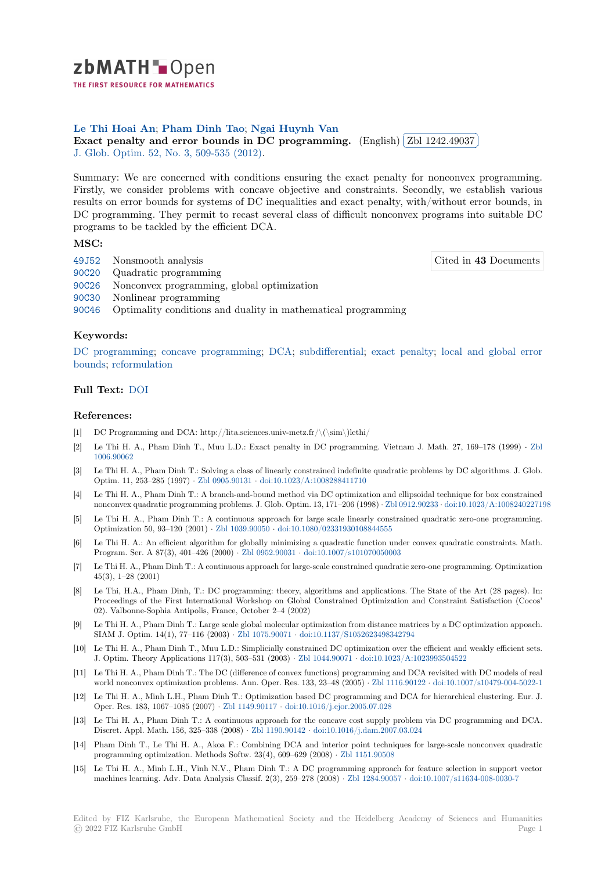

THE FIRST RESOURCE FOR MATHEMATICS

# **Le Thi Hoai An**; **Pham Dinh Tao**; **Ngai Huynh Van**

Le 1 in 110ai An; Fhain Dinn 1ao; Ngai 11uyini van<br>**[E](https://zbmath.org/)xact penalty and error bounds in DC programming.** (English) ✂ Zbl 1242.49037 ĺ. ✁ J. Glob. Optim. 52, No. 3, 509-535 (2012).

[Summary: We are](https://zbmath.org/authors/?q=ai:le-thi-hoai-an.) [concerned with con](https://zbmath.org/authors/?q=ai:pham-dinh-tao.)[ditions ensuring the](https://zbmath.org/authors/?q=ai:huynh-van-ngai.) exact penalty for nonconvex programming. [Firstly, we consider problems with concave objective and co](https://zbmath.org/1242.49037)nstraints. [Secondly, we esta](https://zbmath.org/1242.49037)blish various [results on error](https://zbmath.org/journals/?q=se:1408) [bounds for systems of DC](https://zbmath.org/?q=in:296814) inequalities and exact penalty, with/without error bounds, in DC programming. They permit to recast several class of difficult nonconvex programs into suitable DC programs to be tackled by the efficient DCA.

## **MSC:**

- 49J52 Nonsmooth analysis
- 90C20 Quadratic programming
- 90C26 Nonconvex programming, global optimization
- 90C30 Nonlinear programming
- [90C46](https://zbmath.org/classification/?q=cc:49J52) Optimality conditions and duality in mathematical programming

### **[Keyw](https://zbmath.org/classification/?q=cc:90C26)ords:**

[DC pr](https://zbmath.org/classification/?q=cc:90C30)ogramming; concave programming; DCA; subdifferential; exact penalty; local and global error [bound](https://zbmath.org/classification/?q=cc:90C46)s; reformulation

### **Full Text:** DOI

### **[Refere](https://zbmath.org/?q=ut:local+and+global+error+bounds)[nces:](https://zbmath.org/?q=ut:reformulation)**

- [1] DC Programming and DCA: http://lita.sciences.univ-metz.fr/\(\sim\)lethi/
- [2] Le Thi H[. A.,](https://dx.doi.org/10.1007/s10898-011-9765-3) Pham Dinh T., Muu L.D.: Exact penalty in DC programming. Vietnam J. Math. 27, 169–178 (1999) *·* Zbl 1006.90062
- [3] Le Thi H. A., Pham Dinh T.: Solving a class of linearly constrained indefinite quadratic problems by DC algorithms. J. Glob. Optim. 11, 253–285 (1997) *·* Zbl 0905.90131 *·* doi:10.1023/A:1008288411710
- [4] Le Thi H. A., Pham Dinh T.: A branch-and-bound method via DC optimization and ellipsoidal technique for box constrai[ned](https://zbmath.org/1006.90062) [nonconvex q](https://zbmath.org/1006.90062)uadratic programming problems. J. Glob. Optim. 13, 171–206 (1998) *·* Zbl 0912.90233 *·* doi:10.1023/A:1008240227198
- [5] Le Thi H. A., Pham Dinh T.: A continuous approach for large scale linearly constrained quadratic zero-one programming. Optimization 50, 93–120 (2001) *·* [Zbl 1039.9](https://zbmath.org/0905.90131)0050 *·* [doi:10.1080/02331930108](https://dx.doi.org/10.1023/A:1008288411710)844555
- [6] Le Thi H. A.: An efficient algorithm for globally minimizing a quadratic function under convex quadratic constraints. Math. Program. Ser. A 87(3), 401–426 (2000) *·* Zbl 0952.90031 *·* doi:10.1007/s10107005[0003](https://zbmath.org/0912.90233)
- [7] Le Thi H. A., Pham Dinh T.: A continuous approach for large-scale constrained quadratic zero-one programming. Optimization 45(3), 1–28 (2001)
- Le Thi, H.A., Pham Dinh, T.: DC programming: theory, algorithms and applications. The State of the Art (28 pages). In: Proceedings of the First International [Workshop on Gl](https://zbmath.org/0952.90031)o[bal Constrained Optimizatio](https://dx.doi.org/10.1007/s101070050003)n and Constraint Satisfaction (Cocos' 02). Valbonne-Sophia Antipolis, France, October 2–4 (2002)
- Le Thi H. A., Pham Dinh T.: Large scale global molecular optimization from distance matrices by a DC optimization appoach. SIAM J. Optim. 14(1), 77–116 (2003) *·* Zbl 1075.90071 *·* doi:10.1137/S1052623498342794
- [10] Le Thi H. A., Pham Dinh T., Muu L.D.: Simplicially constrained DC optimization over the efficient and weakly efficient sets. J. Optim. Theory Applications 117(3), 503–531 (2003) *·* Zbl 1044.90071 *·* doi:10.1023/A:1023993504522
- [11] Le Thi H. A., Pham Dinh T.: The DC (difference of convex functions) programming and DCA revisited with DC models of real world nonconvex optimization problems[. Ann. Oper. Re](https://zbmath.org/1075.90071)s. [133, 23–48 \(2005\)](https://dx.doi.org/10.1137/S1052623498342794) *·* Zbl 1116.90122 *·* doi:10.1007/s10479-004-5022-1
- [12] Le Thi H. A., Minh L.H., Pham Dinh T.: Optimization based DC programming and DCA for hierarchical clustering. Eur. J. Oper. Res. 183, 1067–1085 (2007) *·* Zbl 1149.90117 *·* doi[:10.1016/j.ejor.2](https://zbmath.org/1044.90071)0[05.07.028](https://dx.doi.org/10.1023/A:1023993504522)
- [13] Le Thi H. A., Pham Dinh T.: A continuous approach for the concave cost supply problem via DC programming and DCA. Discret. Appl. Math. 156, 325–338 (2008) *·* Zbl 1190.90142 *·* doi:10.1016/j.da[m.2007.03.024](https://zbmath.org/1116.90122)
- [14] Pham Dinh T., Le Thi H. A., Akoa F.: Combining DCA and interior point techniques for large-scale nonconvex quadratic programming optimization. Method[s Softw. 23\(4\),](https://zbmath.org/1149.90117) 609–629 (2008) *·* [Zbl 1151.90508](https://dx.doi.org/10.1016/j.ejor.2005.07.028)
- [15] Le Thi H. A., Minh L.H., Vinh N.V., Pham Dinh T.: A DC programming approach for feature selection in support vector machines learning. Adv. Data Analysis Cla[ssif. 2\(3\), 259–2](https://zbmath.org/1190.90142)78 (2008) *·* [Zbl 1284.90057](https://dx.doi.org/10.1016/j.dam.2007.03.024) *·* doi:10.1007/s11634-008-0030-7

Edited by FIZ Karlsruhe, the European Mathematical Society and the Heidelberg Academy of Sciences and Humanities © 2022 FIZ Karlsruhe GmbH [P](https://dx.doi.org/10.1007/s11634-008-0030-7)age 1

Cited in **43** Documents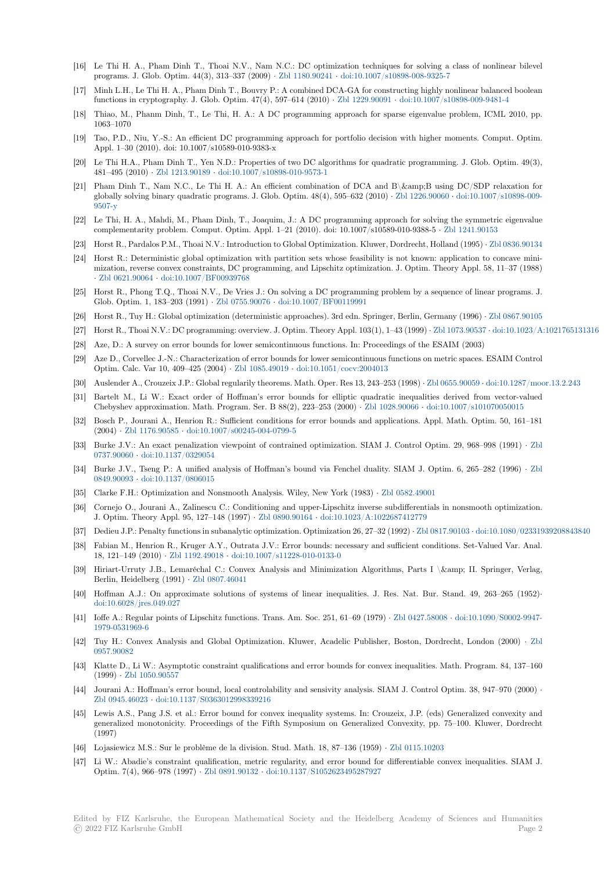- [16] Le Thi H. A., Pham Dinh T., Thoai N.V., Nam N.C.: DC optimization techniques for solving a class of nonlinear bilevel programs. J. Glob. Optim. 44(3), 313–337 (2009) *·* Zbl 1180.90241 *·* doi:10.1007/s10898-008-9325-7
- [17] Minh L.H., Le Thi H. A., Pham Dinh T., Bouvry P.: A combined DCA-GA for constructing highly nonlinear balanced boolean functions in cryptography. J. Glob. Optim. 47(4), 597–614 (2010) *·* Zbl 1229.90091 *·* doi:10.1007/s10898-009-9481-4
- [18] Thiao, M., Phanm Dinh, T., Le Thi, H. A.: A DC programming approach for sparse eigenvalue problem, ICML 2010, pp. 1063–1070
- [19] Tao, P.D., Niu, Y.-S.: An efficient DC programming approach for portfolio decision with higher moments. Comput. Optim. Appl. 1–30 (2010). doi: 10.1007/s10589-010-9383-x
- [20] Le Thi H.A., Pham Dinh T., Yen N.D.: Properties of two DC algorithms for quadratic programming. J. Glob. Optim. 49(3), 481–495 (2010) *·* Zbl 1213.90189 *·* doi:10.1007/s10898-010-9573-1
- [21] Pham Dinh T., Nam N.C., Le Thi H. A.: An efficient combination of DCA and B\&B using DC/SDP relaxation for globally solving binary quadratic programs. J. Glob. Optim. 48(4), 595–632 (2010) *·* Zbl 1226.90060 *·* doi:10.1007/s10898-009- 9507-y
- [22] Le Thi, H. A., M[ahdi, M., Pham](https://zbmath.org/1213.90189) [Dinh, T., Joaquim, J.: A DC p](https://dx.doi.org/10.1007/s10898-010-9573-1)rogramming approach for solving the symmetric eigenvalue complementarity problem. Comput. Optim. Appl. 1–21 (2010). doi: 10.1007/s10589-010-9388-5 *·* Zbl 1241.90153
- [23] Horst R., Pardalos P.M., Thoai N.V.: Introduction to Global Optimization. Kluwer, [Dordrecht, Holla](https://zbmath.org/1226.90060)nd (1995) *·* [Zbl 0836.90134](https://dx.doi.org/10.1007/s10898-009-9507-y)
- [24] [Horst R](https://dx.doi.org/10.1007/s10898-009-9507-y).: Deterministic global optimization with partition sets whose feasibility is not known: application to concave minimization, reverse convex constraints, DC programming, and Lipschitz optimization. J. Optim. Theory Appl. 58, 11–37 (1988) *·* Zbl 0621.90064 *·* doi:10.1007/BF00939768
- [25] Horst R., Phong T.Q., Thoai N.V., De Vries J.: On solving a DC programming problem by a sequence of line[ar programs. J.](https://zbmath.org/0836.90134) Glob. Optim. 1, 183–203 (1991) *·* Zbl 0755.90076 *·* doi:10.1007/BF00119991
- [26] Horst R., Tuy H.: Global optimization (deterministic approaches). 3rd edn. Springer, Berlin, Germany (1996) *·* Zbl 0867.90105
- [27] [Horst R., Thoai N](https://zbmath.org/0621.90064).[V.: DC programming: ove](https://dx.doi.org/10.1007/BF00939768)rview. J. Optim. Theory Appl. 103(1), 1–43 (1999) *·* Zbl 1073.90537 *·* doi:10.1023/A:1021765131316
- [28] Aze, D.: A survey on error bounds for lower semicontinuous functions. In: Proceedings of the ESAIM (2003)
- [29] Aze D., Corvellec J.-N.: Character[ization of error](https://zbmath.org/0755.90076) b[ounds for lower semicontin](https://dx.doi.org/10.1007/BF00119991)uous functions on metric spaces. [ESAIM Control](https://zbmath.org/0867.90105) Optim. Calc. Var 10, 409–425 (2004) *·* Zbl 1085.49019 *·* doi:10.1051/cocv:2004013
- [30] Auslender A., Crouzeix J.P.: Global regularily theorems. Math. Oper. Res 13, 243–253 (1998) *·* Z[bl 0655.90059](https://zbmath.org/1073.90537) *·* d[oi:10.1287/moor.13.2.243](https://dx.doi.org/10.1023/A:1021765131316)
- [31] Bartelt M., Li W.: Exact order of Hoffman's error bounds for elliptic quadratic inequalities derived from vector-valued Chebyshev approximation. Math. Program. Ser. B 88(2), 223–253 (2000) *·* Zbl 1028.90066 *·* doi:10.1007/s101070050015
- [32] Bosch P., Jourani A., Henrion R.: Su[fficient condition](https://zbmath.org/1085.49019)s [for error bounds and app](https://dx.doi.org/10.1051/cocv:2004013)lications. Appl. Math. Optim. 50, 161–181 (2004) *·* Zbl 1176.90585 *·* doi:10.1007/s00245-004-0799-5
- [33] Burke J.V.: An exact penalization viewpoint of contrained optimization. SIAM J. Control Optim. 29, 968–998 (1991) *·* Zbl 0737.90060 *·* doi:10.1137/0329054
- [34] Burke J.V., Tseng P.: A unified analysis of Hoffman's bound via Fenchel duality. SIAM J. Optim. 6, 265–282 (1996) *·* Zbl 0849.90093 *·* [doi:10.1137](https://zbmath.org/1176.90585)/[0806015](https://dx.doi.org/10.1007/s00245-004-0799-5)
- [35] Clarke F.H.: Optimization and Nonsmooth Analysis. Wiley, New York (1983) *·* Zbl 0582.49001
- [36] [Cornejo O.](https://zbmath.org/0737.90060), [Jourani A., Zalinescu](https://dx.doi.org/10.1137/0329054) C.: Conditioning and upper-Lipschitz inverse subdifferentials in nonsmooth optimization. J. Optim. Theory Appl. 95, 127–148 (1997) *·* Zbl 0890.90164 *·* doi:10.1023/A:1022687412779
- [37] [Dedieu J.P.](https://zbmath.org/0849.90093): [Penalty functions in s](https://dx.doi.org/10.1137/0806015)ubanalytic optimization. Optimization 26, 27–32 (1992) *·* Zbl 0817.90103 *·* doi:10.1080/02331939208843840
- [38] Fabian M., Henrion R., Kruger A.Y., Outrata J.V.: Error bounds: necessary an[d sufficient cond](https://zbmath.org/0582.49001)itions. Set-Valued Var. Anal. 18, 121–149 (2010) *·* Zbl 1192.49018 *·* doi:10.1007/s11228-010-0133-0
- [39] Hiriart-Urruty J.B., Lemaréchal C.: Convex [Analysis and M](https://zbmath.org/0890.90164)i[nimization Algorithms, Parts](https://dx.doi.org/10.1023/A:1022687412779) I \& II. Springer, Verlag, Berlin, Heidelberg (1991) *·* Zbl 0807.46041
- [40] Hoffman A.J.: On approximate solutions of systems of linear inequalities. J. Res. Nat. Bur. Stand. 49, 263–265 (1952)*·* doi:10.6028/jres.049.[027](https://zbmath.org/1192.49018)
- [41] Ioffe A.: Regular points of Lipschitz functions. Trans. Am. Soc. 251, 61–69 (1979) *·* Zbl 0427.58008 *·* doi:10.1090/S0002-9947- 1979-0531969-6
- [42] Tuy H.: Convex Analysis and Global Optimization. Kluwer, Acadelic Publisher, Boston, Dordrecht, London (2000) *·* Zbl [0957.90082](https://dx.doi.org/10.6028/jres.049.027)
- [43] Klatte D., Li W.: Asymptotic constraint qualifications and error bounds for convex [inequalities. Ma](https://zbmath.org/0427.58008)t[h. Program. 84, 137–160](https://dx.doi.org/10.1090/S0002-9947-1979-0531969-6) (1999) *·* [Zbl 105](https://dx.doi.org/10.1090/S0002-9947-1979-0531969-6)0.90557
- [44] Jourani A.: Hoffman's error bound, local controlability and sensivity analysis. SIAM J. Control Optim. 38, 947–970 (200[0\)](https://zbmath.org/0957.90082) *·* [Zbl 0945.46](https://zbmath.org/0957.90082)023 *·* doi:10.1137/S0363012998339216
- [45] Lewis A.S., Pang J.S. et al.: Error bound for convex inequality systems. In: Crouzeix, J.P. (eds) Generalized convexity and generali[zed monotonicit](https://zbmath.org/1050.90557)y. Proceedings of the Fifth Symposium on Generalized Convexity, pp. 75–100. Kluwer, Dordrecht (1997)
- [46] [Lojasiewicz M.S](https://zbmath.org/0945.46023).[: Sur le problème de la division.](https://dx.doi.org/10.1137/S0363012998339216) Stud. Math. 18, 87–136 (1959) *·* Zbl 0115.10203
- [47] Li W.: Abadie's constraint qualification, metric regularity, and error bound for differentiable convex inequalities. SIAM J. Optim. 7(4), 966–978 (1997) *·* Zbl 0891.90132 *·* doi:10.1137/S1052623495287927